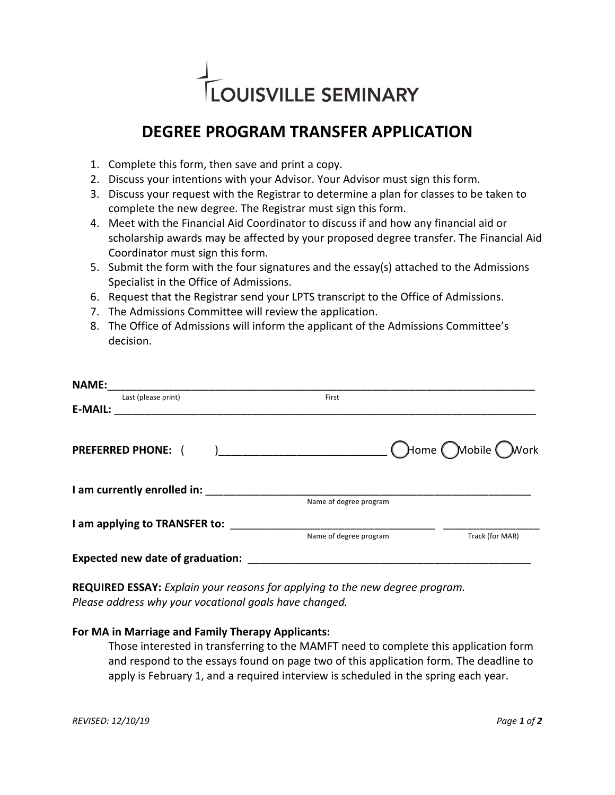

## **DEGREE PROGRAM TRANSFER APPLICATION**

- 1. Complete this form, then save and print a copy.
- 2. Discuss your intentions with your Advisor. Your Advisor must sign this form.
- 3. Discuss your request with the Registrar to determine a plan for classes to be taken to complete the new degree. The Registrar must sign this form.
- 4. Meet with the Financial Aid Coordinator to discuss if and how any financial aid or scholarship awards may be affected by your proposed degree transfer. The Financial Aid Coordinator must sign this form.
- 5. Submit the form with the four signatures and the essay(s) attached to the Admissions Specialist in the Office of Admissions.
- 6. Request that the Registrar send your LPTS transcript to the Office of Admissions.
- 7. The Admissions Committee will review the application.
- 8. The Office of Admissions will inform the applicant of the Admissions Committee's decision.

| <b>NAME:</b>                            |                                   |                   |
|-----------------------------------------|-----------------------------------|-------------------|
| Last (please print)                     | First                             |                   |
| E-MAIL:                                 |                                   |                   |
| <b>PREFERRED PHONE: (</b>               | ) <u>__________________</u> _____ | CHome Mobile Work |
| I am currently enrolled in:             |                                   |                   |
|                                         | Name of degree program            |                   |
| I am applying to TRANSFER to:           |                                   |                   |
|                                         | Name of degree program            | Track (for MAR)   |
| <b>Expected new date of graduation:</b> |                                   |                   |

**REQUIRED ESSAY:** *Explain your reasons for applying to the new degree program. Please address why your vocational goals have changed.*

## **For MA in Marriage and Family Therapy Applicants:**

Those interested in transferring to the MAMFT need to complete this application form and respond to the essays found on page two of this application form. The deadline to apply is February 1, and a required interview is scheduled in the spring each year.